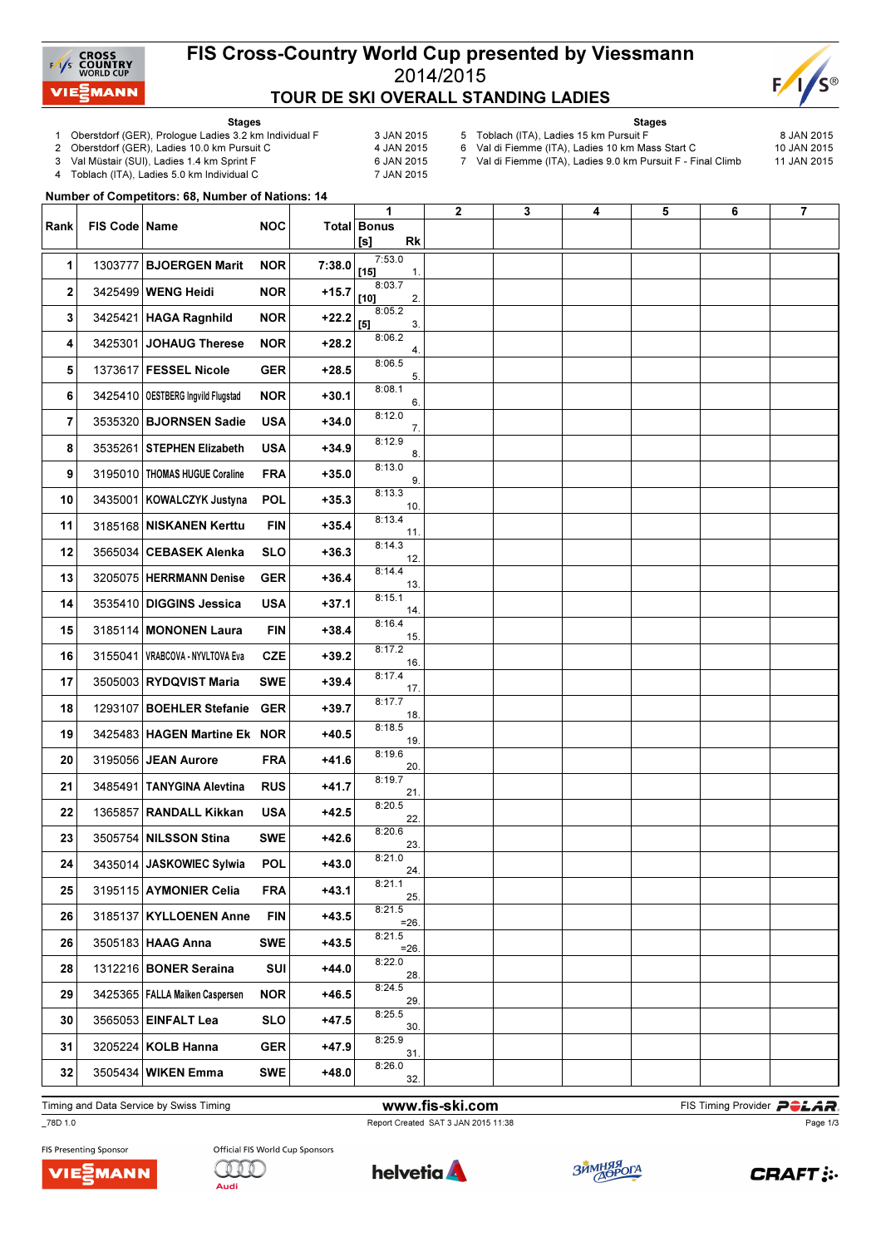

## FIS Cross-Country World Cup presented by Viessmann 2014/2015 TOUR DE SKI OVERALL STANDING LADIES



Stages

- 1 Oberstdorf (GER), Prologue Ladies 3.2 km Individual F 3 JAN 2015<br>2 Oberstdorf (GER), Ladies 10.0 km Pursuit C 4 JAN 2015
- 2 Oberstdorf (GER), Ladies 10.0 km Pursuit C
- 
- 3 Val Müstair (SUI), Ladies 1.4 km Sprint F<br>4 Toblach (ITA), Ladies 5.0 km Individual C 6 7 JAN 2015 Toblach (ITA), Ladies 5.0 km Individual C
- Stages 5 Toblach (ITA), Ladies 15 km Pursuit F 8 JAN 2015
	- -
- 6 Val di Fiemme (ITA), Ladies 10 km Mass Start C 10 JAN 2015

7 Val di Fiemme (ITA), Ladies 9.0 km Pursuit F - Final Climb 11 JAN 2015

 $N_{\rm tot}$  of  $\alpha$  and  $\alpha$  is the competitors:  $\alpha$ 

|      |                 | Number of Competitors: 66, Number of Nations: 14 |            |         |                                      |                |   |   |   |   |                         |
|------|-----------------|--------------------------------------------------|------------|---------|--------------------------------------|----------------|---|---|---|---|-------------------------|
| Rank | FIS Code   Name |                                                  | <b>NOC</b> |         | 1<br><b>Total Bonus</b><br>[s]<br>Rk | $\overline{2}$ | 3 | 4 | 5 | 6 | $\overline{\mathbf{r}}$ |
| 1    |                 | 1303777 BJOERGEN Marit                           | <b>NOR</b> | 7:38.0  | 7:53.0<br>$[15]$<br>$\mathbf{1}$ .   |                |   |   |   |   |                         |
| 2    |                 | 3425499 WENG Heidi                               | <b>NOR</b> | $+15.7$ | 8:03.7<br>$[10]$<br>2.               |                |   |   |   |   |                         |
| 3    |                 | 3425421 HAGA Ragnhild                            | <b>NOR</b> | $+22.2$ | 8:05.2<br>$[5]$<br>3.                |                |   |   |   |   |                         |
| 4    |                 | 3425301 JOHAUG Therese                           | <b>NOR</b> | $+28.2$ | 8:06.2<br>4.                         |                |   |   |   |   |                         |
| 5    |                 | 1373617 FESSEL Nicole                            | <b>GER</b> | $+28.5$ | 8:06.5<br>5.                         |                |   |   |   |   |                         |
| 6    |                 | 3425410   OESTBERG Ingvild Flugstad              | <b>NOR</b> | $+30.1$ | 8:08.1<br>6.                         |                |   |   |   |   |                         |
| 7    |                 | 3535320 BJORNSEN Sadie                           | <b>USA</b> | $+34.0$ | 8:12.0<br>7.                         |                |   |   |   |   |                         |
| 8    |                 | 3535261 STEPHEN Elizabeth                        | <b>USA</b> | $+34.9$ | 8:12.9<br>8.                         |                |   |   |   |   |                         |
| 9    |                 | 3195010 THOMAS HUGUE Coraline                    | <b>FRA</b> | $+35.0$ | 8:13.0<br>9.                         |                |   |   |   |   |                         |
| 10   |                 | 3435001 KOWALCZYK Justyna                        | <b>POL</b> | $+35.3$ | 8:13.3<br>10.                        |                |   |   |   |   |                         |
| 11   |                 | 3185168 NISKANEN Kerttu                          | FIN        | $+35.4$ | 8:13.4<br>11.                        |                |   |   |   |   |                         |
| 12   |                 | 3565034 CEBASEK Alenka                           | <b>SLO</b> | $+36.3$ | 8:14.3<br>12.                        |                |   |   |   |   |                         |
| 13   |                 | 3205075 HERRMANN Denise                          | <b>GER</b> | $+36.4$ | 8:14.4<br>13.                        |                |   |   |   |   |                         |
| 14   |                 | 3535410 DIGGINS Jessica                          | <b>USA</b> | $+37.1$ | 8:15.1<br>14.                        |                |   |   |   |   |                         |
| 15   |                 | 3185114 MONONEN Laura                            | <b>FIN</b> | $+38.4$ | 8:16.4<br>15.                        |                |   |   |   |   |                         |
| 16   |                 | 3155041   VRABCOVA - NYVLTOVA Eva                | <b>CZE</b> | $+39.2$ | 8:17.2<br>16.                        |                |   |   |   |   |                         |
| 17   |                 | 3505003 RYDQVIST Maria                           | <b>SWE</b> | $+39.4$ | 8:17.4<br>17.                        |                |   |   |   |   |                         |
| 18   |                 | 1293107 BOEHLER Stefanie                         | <b>GER</b> | $+39.7$ | 8:17.7<br>18.                        |                |   |   |   |   |                         |
| 19   |                 | 3425483 HAGEN Martine Ek NOR                     |            | $+40.5$ | 8:18.5<br>19.                        |                |   |   |   |   |                         |
| 20   |                 | 3195056 JEAN Aurore                              | <b>FRA</b> | $+41.6$ | 8:19.6<br>20.                        |                |   |   |   |   |                         |
| 21   |                 | 3485491 TANYGINA Alevtina                        | <b>RUS</b> | $+41.7$ | 8:19.7<br>21.                        |                |   |   |   |   |                         |
| 22   |                 | 1365857 RANDALL Kikkan                           | <b>USA</b> | +42.5   | 8:20.5<br>22.                        |                |   |   |   |   |                         |
| 23   |                 | 3505754 NILSSON Stina                            | <b>SWE</b> | $+42.6$ | 8:20.6<br>23.                        |                |   |   |   |   |                         |
| 24   |                 | 3435014 JASKOWIEC Sylwia                         | <b>POL</b> | $+43.0$ | 8:21.0<br>24.                        |                |   |   |   |   |                         |
| 25   |                 | 3195115 AYMONIER Celia                           | <b>FRA</b> | $+43.1$ | 8:21.1<br>25.                        |                |   |   |   |   |                         |
| 26   |                 | 3185137 KYLLOENEN Anne                           | <b>FIN</b> | $+43.5$ | 8:21.5<br>$=26.$                     |                |   |   |   |   |                         |
| 26   |                 | 3505183 HAAG Anna                                | <b>SWE</b> | $+43.5$ | 8:21.5<br>$=26.$                     |                |   |   |   |   |                         |
| 28   |                 | 1312216 BONER Seraina                            | <b>SUI</b> | $+44.0$ | 8:22.0<br>28.                        |                |   |   |   |   |                         |
| 29   |                 | 3425365   FALLA Maiken Caspersen                 | NOR        | $+46.5$ | 8:24.5<br>29.                        |                |   |   |   |   |                         |
| 30   |                 | 3565053 EINFALT Lea                              | <b>SLO</b> | $+47.5$ | 8:25.5<br>30.                        |                |   |   |   |   |                         |
| 31   |                 | 3205224 KOLB Hanna                               | <b>GER</b> | $+47.9$ | 8:25.9<br>31.                        |                |   |   |   |   |                         |
| 32   |                 | 3505434 WIKEN Emma                               | <b>SWE</b> | $+48.0$ | 8:26.0<br>32.                        |                |   |   |   |   |                         |
|      |                 |                                                  |            |         |                                      |                |   |   |   |   |                         |

Timing and Data Service by Swiss Timing **Example 20 and Service by Swiss Timing Provider PCLAR** 

\_78D 1.0 Report Created SAT 3 JAN 2015 11:38

Page 1/3





helvetia **A** 

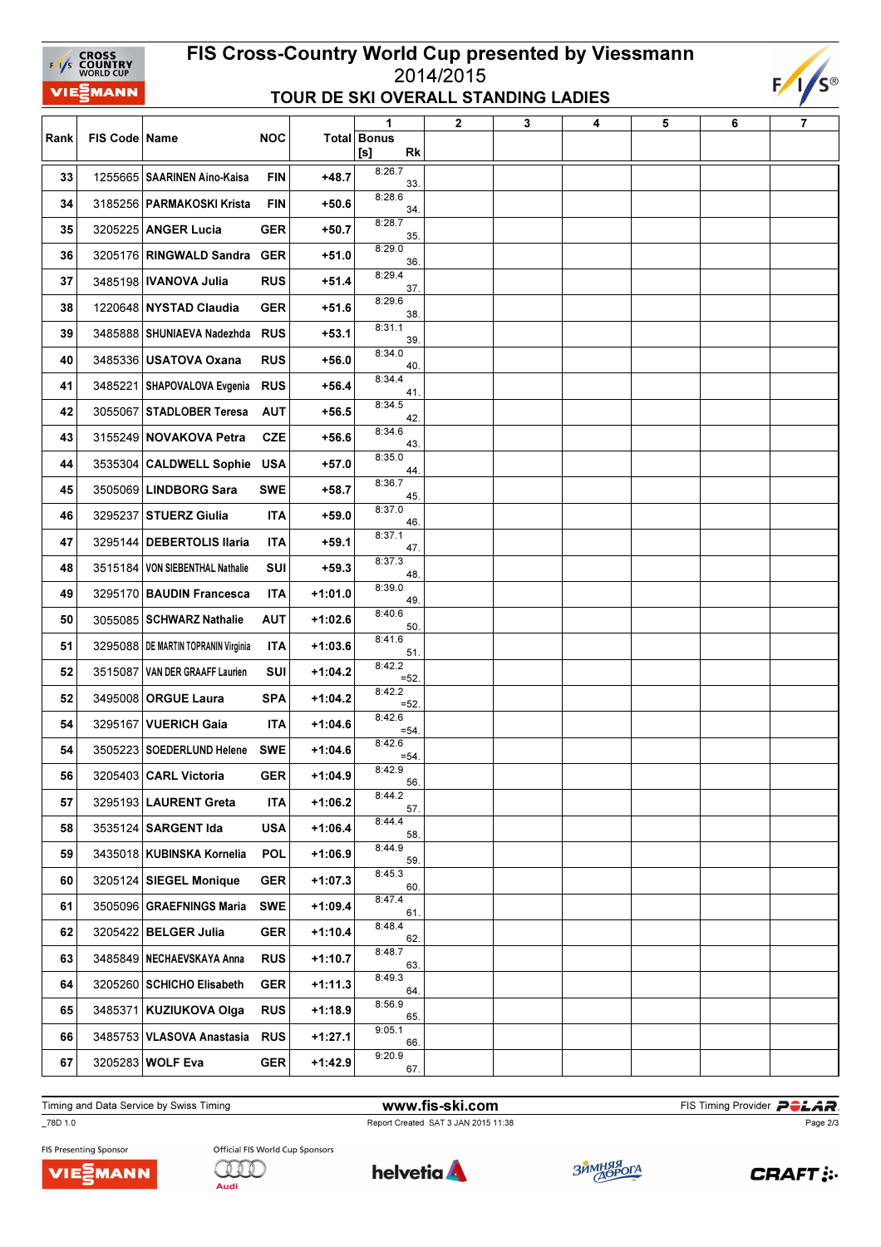## FIS Cross-Country World Cup presented by Viessmann 2014/2015 TOUR DE SKI OVERALL STANDING LADIES



|      |                 |                                       |            |           | 1                               | $\mathbf 2$ | 3 | 4 | 5 | 6 | 7 |
|------|-----------------|---------------------------------------|------------|-----------|---------------------------------|-------------|---|---|---|---|---|
| Rank | FIS Code   Name |                                       | <b>NOC</b> |           | <b>Total Bonus</b><br>[s]<br>Rk |             |   |   |   |   |   |
| 33   |                 | 1255665 SAARINEN Aino-Kaisa           | <b>FIN</b> | $+48.7$   | 8:26.7<br>33.                   |             |   |   |   |   |   |
| 34   |                 | 3185256 PARMAKOSKI Krista             | <b>FIN</b> | $+50.6$   | 8:28.6<br>34                    |             |   |   |   |   |   |
| 35   |                 | 3205225 ANGER Lucia                   | <b>GER</b> | $+50.7$   | 8:28.7<br>35.                   |             |   |   |   |   |   |
| 36   | 3205176         | RINGWALD Sandra                       | <b>GER</b> | $+51.0$   | 8:29.0<br>36                    |             |   |   |   |   |   |
| 37   |                 | 3485198   IVANOVA Julia               | <b>RUS</b> | $+51.4$   | 8:29.4<br>37.                   |             |   |   |   |   |   |
| 38   |                 | 1220648 NYSTAD Claudia                | <b>GER</b> | $+51.6$   | 8:29.6<br>38.                   |             |   |   |   |   |   |
| 39   |                 | 3485888   SHUNIAEVA Nadezhda          | <b>RUS</b> | $+53.1$   | 8:31.1<br>39.                   |             |   |   |   |   |   |
| 40   |                 | 3485336 USATOVA Oxana                 | <b>RUS</b> | $+56.0$   | 8:34.0<br>40                    |             |   |   |   |   |   |
| 41   |                 | 3485221   SHAPOVALOVA Evgenia         | <b>RUS</b> | $+56.4$   | 8:34.4<br>41.                   |             |   |   |   |   |   |
| 42   |                 | 3055067 STADLOBER Teresa              | <b>AUT</b> | $+56.5$   | 8:34.5<br>42.                   |             |   |   |   |   |   |
| 43   |                 | 3155249 NOVAKOVA Petra                | <b>CZE</b> | $+56.6$   | 8:34.6<br>43.                   |             |   |   |   |   |   |
| 44   |                 | 3535304 CALDWELL Sophie               | <b>USA</b> | $+57.0$   | 8:35.0<br>44.                   |             |   |   |   |   |   |
| 45   |                 | 3505069 LINDBORG Sara                 | SWE        | $+58.7$   | 8:36.7<br>45                    |             |   |   |   |   |   |
| 46   |                 | 3295237 STUERZ Giulia                 | <b>ITA</b> | $+59.0$   | 8:37.0<br>46.                   |             |   |   |   |   |   |
| 47   |                 | 3295144 DEBERTOLIS Ilaria             | <b>ITA</b> | $+59.1$   | 8:37.1<br>47.                   |             |   |   |   |   |   |
| 48   |                 | 3515184 VON SIEBENTHAL Nathalie       | SUI        | $+59.3$   | 8:37.3<br>48                    |             |   |   |   |   |   |
| 49   | 3295170         | <b>BAUDIN Francesca</b>               | <b>ITA</b> | $+1:01.0$ | 8:39.0<br>49.                   |             |   |   |   |   |   |
| 50   |                 | 3055085 SCHWARZ Nathalie              | <b>AUT</b> | $+1:02.6$ | 8:40.6<br>50                    |             |   |   |   |   |   |
| 51   |                 | 3295088   DE MARTIN TOPRANIN Virginia | <b>ITA</b> | $+1:03.6$ | 8:41.6<br>51                    |             |   |   |   |   |   |
| 52   |                 | 3515087 VAN DER GRAAFF Laurien        | SUI        | $+1:04.2$ | 8:42.2<br>$=52$                 |             |   |   |   |   |   |
| 52   |                 | 3495008 ORGUE Laura                   | <b>SPA</b> | $+1:04.2$ | 8:42.2<br>$=52$                 |             |   |   |   |   |   |
| 54   |                 | 3295167 VUERICH Gaia                  | <b>ITA</b> | $+1:04.6$ | 8:42.6<br>$= 54$                |             |   |   |   |   |   |
| 54   | 3505223         | SOEDERLUND Helene                     | <b>SWE</b> | $+1:04.6$ | 8:42.6<br>$= 54.$               |             |   |   |   |   |   |
| 56   |                 | 3205403 CARL Victoria                 | <b>GER</b> | $+1:04.9$ | 8:42.9<br>56.                   |             |   |   |   |   |   |
| 57   |                 | 3295193 LAURENT Greta                 | <b>ITA</b> | $+1:06.2$ | 8:44.2<br>57.                   |             |   |   |   |   |   |
| 58   |                 | 3535124 SARGENT Ida                   | <b>USA</b> | $+1:06.4$ | 8:44.4<br>58.                   |             |   |   |   |   |   |
| 59   |                 | 3435018 KUBINSKA Kornelia             | <b>POL</b> | $+1:06.9$ | 8:44.9<br>59.                   |             |   |   |   |   |   |
| 60   |                 | 3205124 SIEGEL Monique                | <b>GER</b> | $+1:07.3$ | 8:45.3<br>60.                   |             |   |   |   |   |   |
| 61   |                 | 3505096 GRAEFNINGS Maria              | <b>SWE</b> | +1:09.4   | 8:47.4<br>61.                   |             |   |   |   |   |   |
| 62   |                 | 3205422 BELGER Julia                  | <b>GER</b> | +1:10.4   | 8:48.4<br>62.                   |             |   |   |   |   |   |
| 63   |                 | 3485849 NECHAEVSKAYA Anna             | <b>RUS</b> | $+1:10.7$ | 8:48.7<br>63.                   |             |   |   |   |   |   |
| 64   |                 | 3205260 SCHICHO Elisabeth             | <b>GER</b> | $+1:11.3$ | 8:49.3<br>64.                   |             |   |   |   |   |   |
| 65   |                 | 3485371 KUZIUKOVA Olga                | <b>RUS</b> | $+1:18.9$ | 8:56.9<br>65.                   |             |   |   |   |   |   |
| 66   |                 | 3485753 VLASOVA Anastasia             | <b>RUS</b> | +1:27.1   | 9:05.1<br>66.                   |             |   |   |   |   |   |
| 67   |                 | 3205283 WOLF Eva                      | <b>GER</b> | $+1:42.9$ | 9:20.9<br>67.                   |             |   |   |   |   |   |

Timing and Data Service by Swiss Timing **Example 20 and The Ski.com** FIS Timing Provider **PCLAR** 

\_78D 1.0 Report Created SAT 3 JAN 2015 11:38

Page 2/3

FIS Presenting Sponsor VIEZMANN

EAS CROSS

**VIE<sup>2</sup>MANN**